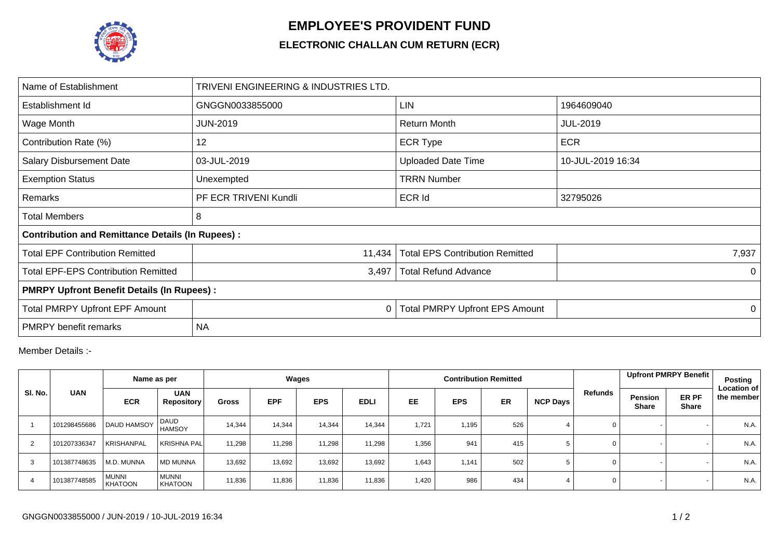

## **EMPLOYEE'S PROVIDENT FUND**

## **ELECTRONIC CHALLAN CUM RETURN (ECR)**

| Name of Establishment                                   | TRIVENI ENGINEERING & INDUSTRIES LTD. |                                        |                   |  |  |  |  |  |
|---------------------------------------------------------|---------------------------------------|----------------------------------------|-------------------|--|--|--|--|--|
| Establishment Id                                        | GNGGN0033855000                       | <b>LIN</b>                             | 1964609040        |  |  |  |  |  |
| Wage Month                                              | <b>JUN-2019</b>                       | <b>Return Month</b>                    | <b>JUL-2019</b>   |  |  |  |  |  |
| Contribution Rate (%)                                   | 12                                    | <b>ECR Type</b>                        | <b>ECR</b>        |  |  |  |  |  |
| <b>Salary Disbursement Date</b>                         | 03-JUL-2019                           | <b>Uploaded Date Time</b>              | 10-JUL-2019 16:34 |  |  |  |  |  |
| <b>Exemption Status</b>                                 | Unexempted                            | <b>TRRN Number</b>                     |                   |  |  |  |  |  |
| Remarks                                                 | PF ECR TRIVENI Kundli                 | <b>ECR Id</b>                          | 32795026          |  |  |  |  |  |
| Total Members                                           | 8                                     |                                        |                   |  |  |  |  |  |
| <b>Contribution and Remittance Details (In Rupees):</b> |                                       |                                        |                   |  |  |  |  |  |
| <b>Total EPF Contribution Remitted</b>                  | 11,434                                | <b>Total EPS Contribution Remitted</b> | 7,937             |  |  |  |  |  |
| <b>Total EPF-EPS Contribution Remitted</b>              | 3,497                                 | <b>Total Refund Advance</b>            | 0                 |  |  |  |  |  |
| <b>PMRPY Upfront Benefit Details (In Rupees):</b>       |                                       |                                        |                   |  |  |  |  |  |
| <b>Total PMRPY Upfront EPF Amount</b>                   | 0                                     | <b>Total PMRPY Upfront EPS Amount</b>  | $\Omega$          |  |  |  |  |  |
| <b>PMRPY</b> benefit remarks                            | <b>NA</b>                             |                                        |                   |  |  |  |  |  |

Member Details :-

|                | Name as per  |                                | Wages                           |              |            | <b>Contribution Remitted</b> |             |       |            |     | <b>Upfront PMRPY Benefit</b> | Posting |                                                         |                                  |
|----------------|--------------|--------------------------------|---------------------------------|--------------|------------|------------------------------|-------------|-------|------------|-----|------------------------------|---------|---------------------------------------------------------|----------------------------------|
| SI. No.        | <b>UAN</b>   | <b>ECR</b>                     | <b>UAN</b><br><b>Repository</b> | <b>Gross</b> | <b>EPF</b> | <b>EPS</b>                   | <b>EDLI</b> | EE    | <b>EPS</b> | ER  | <b>NCP Days</b>              | Refunds | ER PF<br><b>Pension</b><br><b>Share</b><br><b>Share</b> | <b>Location of</b><br>the member |
|                | 101298455686 | <b>DAUD HAMSOY</b>             | DAUD<br><b>HAMSOY</b>           | 14,344       | 14,344     | 14,344                       | 14,344      | 1,721 | 1,195      | 526 |                              |         |                                                         | N.A.                             |
| 2              | 101207336347 | <b>KRISHANPAL</b>              | <b>KRISHNA PAL</b>              | 11,298       | 11,298     | 11,298                       | 11,298      | 1,356 | 941        | 415 |                              | 0       |                                                         | N.A.                             |
| 3              | 101387748635 | M.D. MUNNA                     | <b>MD MUNNA</b>                 | 13,692       | 13,692     | 13,692                       | 13,692      | 1,643 | 1.141      | 502 |                              | 0       |                                                         | N.A.                             |
| $\overline{4}$ | 101387748585 | <b>MUNNI</b><br><b>KHATOON</b> | <b>MUNNI</b><br><b>KHATOON</b>  | 11,836       | 11,836     | 11,836                       | 11,836      | 1,420 | 986        | 434 |                              | 0       |                                                         | N.A.                             |